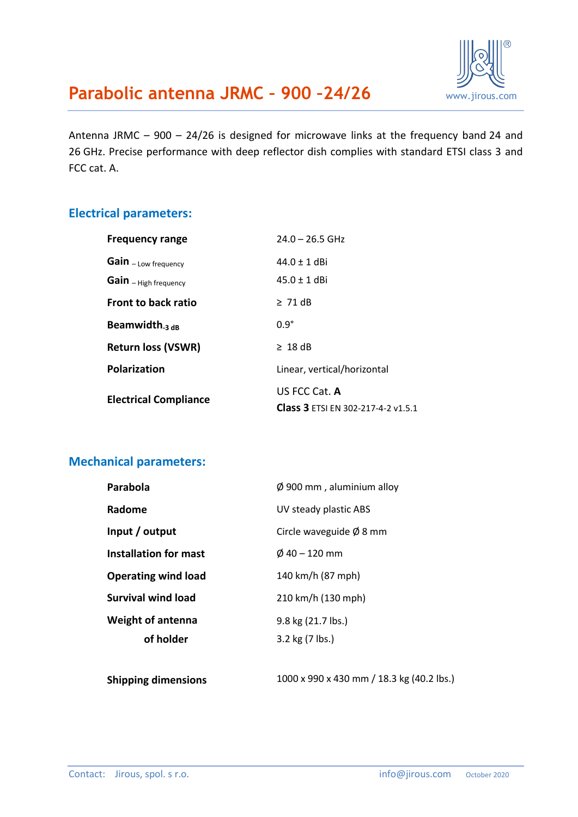

## **Parabolic antenna JRMC – 900 –24/26** [www.jirous.com](http://www.jirous.com/)

Antenna JRMC – 900 – 24/26 is designed for microwave links at the frequency band 24 and 26 GHz. Precise performance with deep reflector dish complies with standard ETSI class 3 and FCC cat. A.

#### **Electrical parameters:**

| <b>Frequency range</b>       | $24.0 - 26.5$ GHz                                          |  |
|------------------------------|------------------------------------------------------------|--|
| Gain - Low frequency         | $44.0 + 1$ dBi                                             |  |
| Gain - High frequency        | $45.0 \pm 1$ dBi                                           |  |
| <b>Front to back ratio</b>   | $\geq 71$ dB                                               |  |
| Beamwidth <sub>-3 dB</sub>   | $0.9^\circ$                                                |  |
| <b>Return loss (VSWR)</b>    | $\geq 18$ dB                                               |  |
| Polarization                 | Linear, vertical/horizontal                                |  |
| <b>Electrical Compliance</b> | US FCC Cat. A<br><b>Class 3 ETSI EN 302-217-4-2 v1.5.1</b> |  |

#### **Mechanical parameters:**

| Parabola                   | $\varnothing$ 900 mm, aluminium alloy |  |
|----------------------------|---------------------------------------|--|
| Radome                     | UV steady plastic ABS                 |  |
| Input / output             | Circle waveguide $\emptyset$ 8 mm     |  |
| Installation for mast      | $\emptyset$ 40 – 120 mm               |  |
| <b>Operating wind load</b> | 140 km/h (87 mph)                     |  |
| <b>Survival wind load</b>  | 210 km/h (130 mph)                    |  |
| <b>Weight of antenna</b>   | 9.8 kg (21.7 lbs.)                    |  |
| of holder                  | 3.2 kg (7 lbs.)                       |  |
|                            |                                       |  |

**Shipping dimensions** 1000 x 990 x 430 mm / 18.3 kg (40.2 lbs.)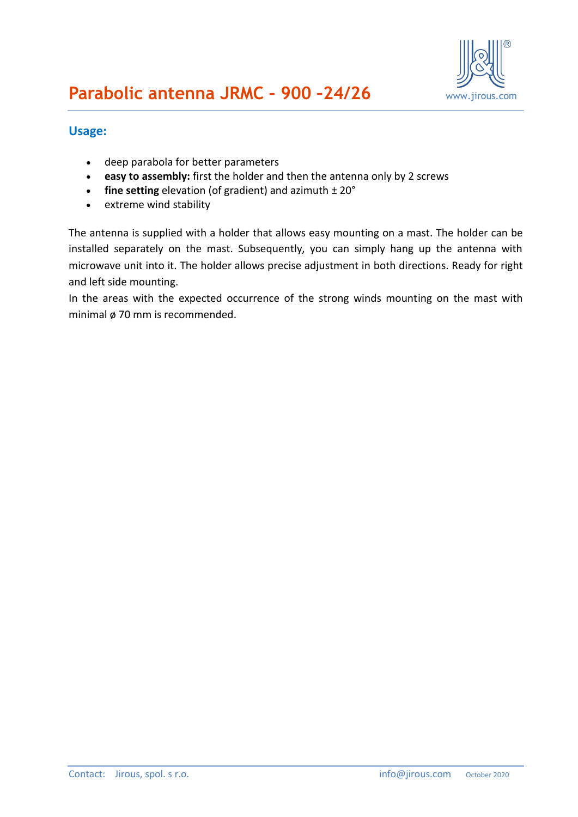

#### **Usage:**

- deep parabola for better parameters
- **easy to assembly:** first the holder and then the antenna only by 2 screws
- **fine setting** elevation (of gradient) and azimuth  $\pm 20^{\circ}$
- extreme wind stability

The antenna is supplied with a holder that allows easy mounting on a mast. The holder can be installed separately on the mast. Subsequently, you can simply hang up the antenna with microwave unit into it. The holder allows precise adjustment in both directions. Ready for right and left side mounting.

In the areas with the expected occurrence of the strong winds mounting on the mast with minimal ø 70 mm is recommended.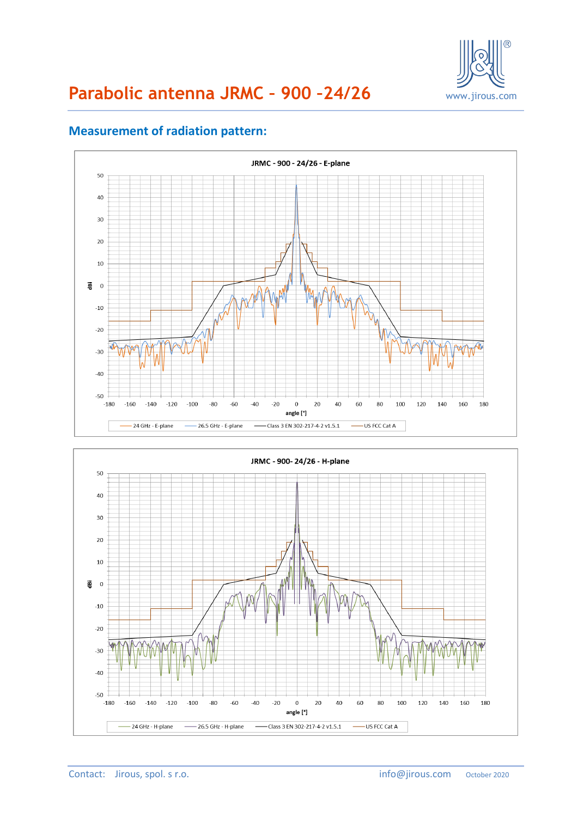

# **Parabolic antenna JRMC – 900 –24/26** [www.jirous.com](http://www.jirous.com/)



#### **Measurement of radiation pattern:**

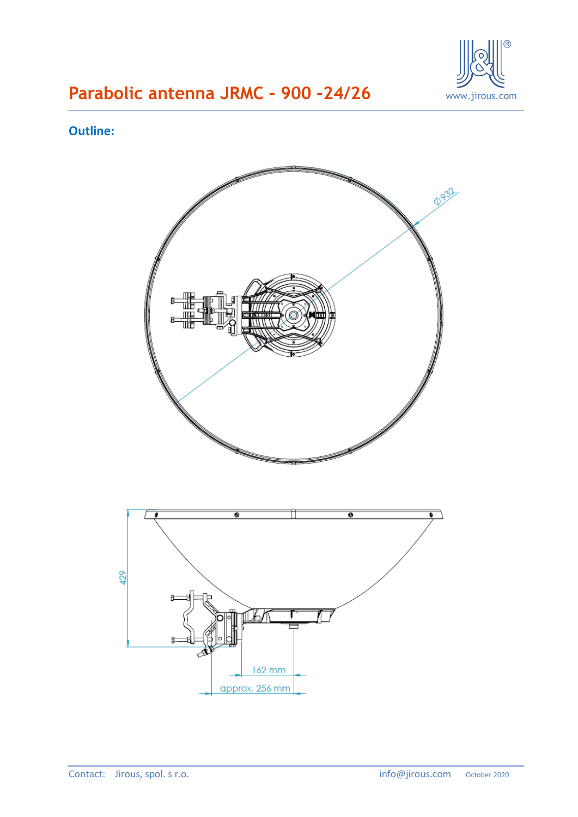

# **Parabolic antenna JRMC – 900 –24/26** [www.jirous.com](http://www.jirous.com/)

#### **Outline:**